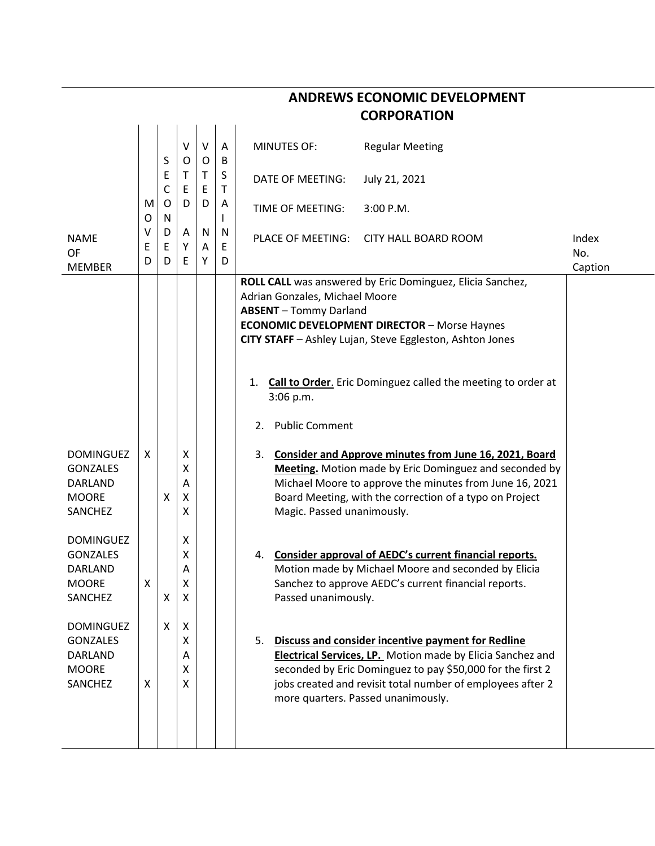| <b>CORPORATION</b>                                                               |             |                             |                                               |                  |             |                                                                                                                                                                                                                                      |                                                                                                                                                                                                                                                 |              |  |  |
|----------------------------------------------------------------------------------|-------------|-----------------------------|-----------------------------------------------|------------------|-------------|--------------------------------------------------------------------------------------------------------------------------------------------------------------------------------------------------------------------------------------|-------------------------------------------------------------------------------------------------------------------------------------------------------------------------------------------------------------------------------------------------|--------------|--|--|
|                                                                                  |             | S                           | $\vee$<br>O                                   | $\vee$           | Α<br>В      | <b>MINUTES OF:</b>                                                                                                                                                                                                                   | <b>Regular Meeting</b>                                                                                                                                                                                                                          |              |  |  |
|                                                                                  | M<br>0      | E<br>$\mathsf{C}$<br>O<br>N | Τ<br>E<br>D                                   | O<br>Τ<br>Ε<br>D | S<br>т<br>A | DATE OF MEETING:                                                                                                                                                                                                                     | July 21, 2021                                                                                                                                                                                                                                   |              |  |  |
|                                                                                  |             |                             |                                               |                  |             | TIME OF MEETING:                                                                                                                                                                                                                     | 3:00 P.M.                                                                                                                                                                                                                                       |              |  |  |
| <b>NAME</b><br>OF                                                                | v<br>Ε<br>D | D<br>E<br>D                 | Α<br>Υ<br>E                                   | N<br>A<br>Υ      | N<br>Ε<br>D | PLACE OF MEETING:                                                                                                                                                                                                                    | CITY HALL BOARD ROOM                                                                                                                                                                                                                            | Index<br>No. |  |  |
| <b>MEMBER</b>                                                                    |             |                             |                                               |                  |             | Adrian Gonzales, Michael Moore<br><b>ABSENT</b> - Tommy Darland<br><b>ECONOMIC DEVELOPMENT DIRECTOR - Morse Haynes</b><br>CITY STAFF - Ashley Lujan, Steve Eggleston, Ashton Jones<br>1.<br>3:06 p.m.<br><b>Public Comment</b><br>2. | ROLL CALL was answered by Eric Dominguez, Elicia Sanchez,<br><b>Call to Order.</b> Eric Dominguez called the meeting to order at                                                                                                                | Caption      |  |  |
| <b>DOMINGUEZ</b><br><b>GONZALES</b><br><b>DARLAND</b><br><b>MOORE</b><br>SANCHEZ | X           | X                           | X<br>Χ<br>Α<br>Χ<br>х                         |                  |             | 3.<br>Magic. Passed unanimously.                                                                                                                                                                                                     | <b>Consider and Approve minutes from June 16, 2021, Board</b><br>Meeting. Motion made by Eric Dominguez and seconded by<br>Michael Moore to approve the minutes from June 16, 2021<br>Board Meeting, with the correction of a typo on Project   |              |  |  |
| <b>DOMINGUEZ</b><br><b>GONZALES</b><br><b>DARLAND</b><br><b>MOORE</b><br>SANCHEZ | Χ           | Χ                           | Χ<br>Χ<br>Α<br>Χ<br>$\boldsymbol{\mathsf{X}}$ |                  |             | 4.<br>Passed unanimously.                                                                                                                                                                                                            | Consider approval of AEDC's current financial reports.<br>Motion made by Michael Moore and seconded by Elicia<br>Sanchez to approve AEDC's current financial reports.                                                                           |              |  |  |
| <b>DOMINGUEZ</b><br><b>GONZALES</b><br>DARLAND<br><b>MOORE</b><br>SANCHEZ        | X           | X                           | Χ<br>x<br>А<br>X<br>x                         |                  |             | more quarters. Passed unanimously.                                                                                                                                                                                                   | 5. Discuss and consider incentive payment for Redline<br>Electrical Services, LP. Motion made by Elicia Sanchez and<br>seconded by Eric Dominguez to pay \$50,000 for the first 2<br>jobs created and revisit total number of employees after 2 |              |  |  |

## **ANDREWS ECONOMIC DEVELOPMENT**